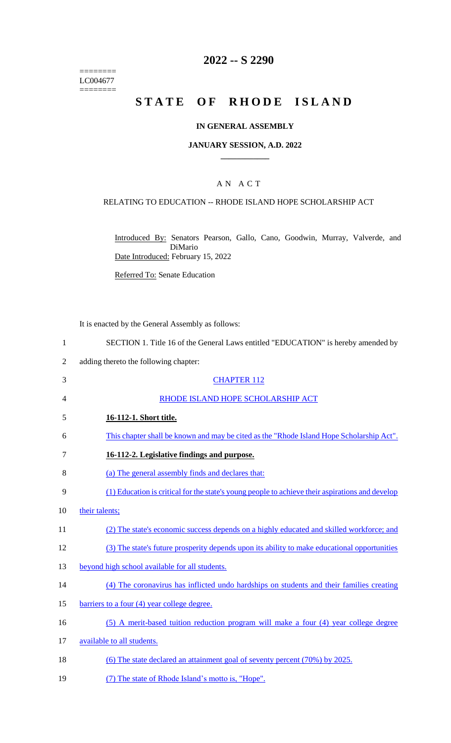======== LC004677 ========

# **2022 -- S 2290**

# **STATE OF RHODE ISLAND**

### **IN GENERAL ASSEMBLY**

### **JANUARY SESSION, A.D. 2022 \_\_\_\_\_\_\_\_\_\_\_\_**

# A N A C T

### RELATING TO EDUCATION -- RHODE ISLAND HOPE SCHOLARSHIP ACT

Introduced By: Senators Pearson, Gallo, Cano, Goodwin, Murray, Valverde, and DiMario Date Introduced: February 15, 2022

Referred To: Senate Education

It is enacted by the General Assembly as follows:

- 1 SECTION 1. Title 16 of the General Laws entitled "EDUCATION" is hereby amended by
- 2 adding thereto the following chapter:
- 3 CHAPTER 112 4 RHODE ISLAND HOPE SCHOLARSHIP ACT 5 **16-112-1. Short title.**  6 This chapter shall be known and may be cited as the "Rhode Island Hope Scholarship Act". 7 **16-112-2. Legislative findings and purpose.**  8 (a) The general assembly finds and declares that: 9 (1) Education is critical for the state's young people to achieve their aspirations and develop 10 their talents; 11 (2) The state's economic success depends on a highly educated and skilled workforce; and 12 (3) The state's future prosperity depends upon its ability to make educational opportunities 13 beyond high school available for all students. 14 (4) The coronavirus has inflicted undo hardships on students and their families creating 15 barriers to a four (4) year college degree. 16 (5) A merit-based tuition reduction program will make a four (4) year college degree 17 available to all students. 18 (6) The state declared an attainment goal of seventy percent (70%) by 2025. 19 (7) The state of Rhode Island's motto is, "Hope".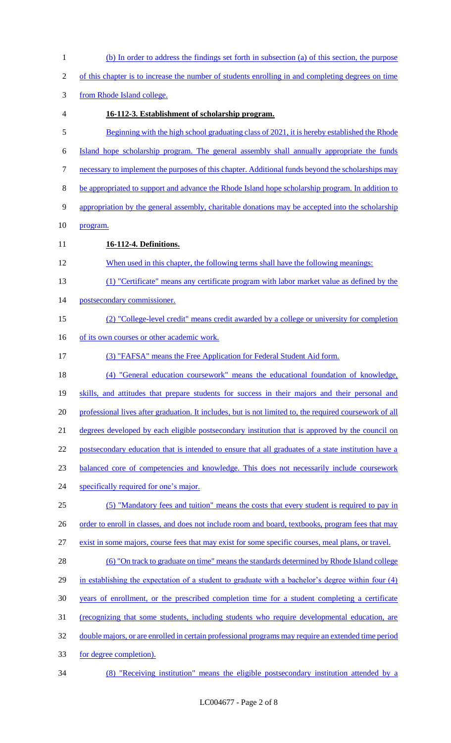| $\mathbf{1}$     | (b) In order to address the findings set forth in subsection (a) of this section, the purpose           |
|------------------|---------------------------------------------------------------------------------------------------------|
| $\mathbf{2}$     | of this chapter is to increase the number of students enrolling in and completing degrees on time       |
| 3                | from Rhode Island college.                                                                              |
| 4                | 16-112-3. Establishment of scholarship program.                                                         |
| $\mathfrak s$    | Beginning with the high school graduating class of 2021, it is hereby established the Rhode             |
| 6                | Island hope scholarship program. The general assembly shall annually appropriate the funds              |
| $\boldsymbol{7}$ | necessary to implement the purposes of this chapter. Additional funds beyond the scholarships may       |
| $8\,$            | be appropriated to support and advance the Rhode Island hope scholarship program. In addition to        |
| 9                | appropriation by the general assembly, charitable donations may be accepted into the scholarship        |
| 10               | program.                                                                                                |
| 11               | 16-112-4. Definitions.                                                                                  |
| 12               | When used in this chapter, the following terms shall have the following meanings:                       |
| 13               | (1) "Certificate" means any certificate program with labor market value as defined by the               |
| 14               | postsecondary commissioner.                                                                             |
| 15               | (2) "College-level credit" means credit awarded by a college or university for completion               |
| 16               | of its own courses or other academic work.                                                              |
| 17               | (3) "FAFSA" means the Free Application for Federal Student Aid form.                                    |
| 18               | (4) "General education coursework" means the educational foundation of knowledge,                       |
| 19               | skills, and attitudes that prepare students for success in their majors and their personal and          |
| 20               | professional lives after graduation. It includes, but is not limited to, the required coursework of all |
| 21               | degrees developed by each eligible postsecondary institution that is approved by the council on         |
| 22               | postsecondary education that is intended to ensure that all graduates of a state institution have a     |
| 23               | balanced core of competencies and knowledge. This does not necessarily include coursework               |
| 24               | specifically required for one's major.                                                                  |
| 25               | (5) "Mandatory fees and tuition" means the costs that every student is required to pay in               |
| 26               | order to enroll in classes, and does not include room and board, textbooks, program fees that may       |
| 27               | exist in some majors, course fees that may exist for some specific courses, meal plans, or travel.      |
| 28               | (6) "On track to graduate on time" means the standards determined by Rhode Island college               |
| 29               | in establishing the expectation of a student to graduate with a bachelor's degree within four (4)       |
| 30               | years of enrollment, or the prescribed completion time for a student completing a certificate           |
| 31               | <u>(recognizing that some students, including students who require developmental education, are</u>     |
| 32               | double majors, or are enrolled in certain professional programs may require an extended time period     |
| 33               | for degree completion).                                                                                 |
| 34               | (8) "Receiving institution" means the eligible postsecondary institution attended by a                  |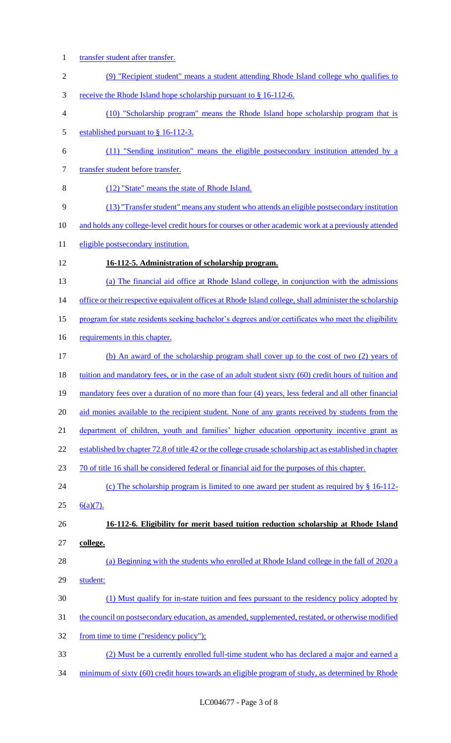- 1 transfer student after transfer. 2 (9) "Recipient student" means a student attending Rhode Island college who qualifies to 3 receive the Rhode Island hope scholarship pursuant to § 16-112-6. 4 (10) "Scholarship program" means the Rhode Island hope scholarship program that is 5 established pursuant to § 16-112-3. 6 (11) "Sending institution" means the eligible postsecondary institution attended by a 7 transfer student before transfer. 8 (12) "State" means the state of Rhode Island. 9 (13) "Transfer student" means any student who attends an eligible postsecondary institution 10 and holds any college-level credit hours for courses or other academic work at a previously attended 11 eligible postsecondary institution. 12 **16-112-5. Administration of scholarship program.**  13 (a) The financial aid office at Rhode Island college, in conjunction with the admissions 14 office or their respective equivalent offices at Rhode Island college, shall administer the scholarship 15 program for state residents seeking bachelor's degrees and/or certificates who meet the eligibility 16 requirements in this chapter. 17 (b) An award of the scholarship program shall cover up to the cost of two (2) years of 18 tuition and mandatory fees, or in the case of an adult student sixty (60) credit hours of tuition and 19 mandatory fees over a duration of no more than four (4) years, less federal and all other financial 20 aid monies available to the recipient student. None of any grants received by students from the 21 department of children, youth and families' higher education opportunity incentive grant as 22 established by chapter 72.8 of title 42 or the college crusade scholarship act as established in chapter 23 70 of title 16 shall be considered federal or financial aid for the purposes of this chapter. 24 (c) The scholarship program is limited to one award per student as required by § 16-112-25  $6(a)(7)$ . 26 **16-112-6. Eligibility for merit based tuition reduction scholarship at Rhode Island**  27 **college.**  28 (a) Beginning with the students who enrolled at Rhode Island college in the fall of 2020 a 29 student: 30 (1) Must qualify for in-state tuition and fees pursuant to the residency policy adopted by 31 the council on postsecondary education, as amended, supplemented, restated, or otherwise modified 32 from time to time ("residency policy"); 33 (2) Must be a currently enrolled full-time student who has declared a major and earned a
- 34 minimum of sixty (60) credit hours towards an eligible program of study, as determined by Rhode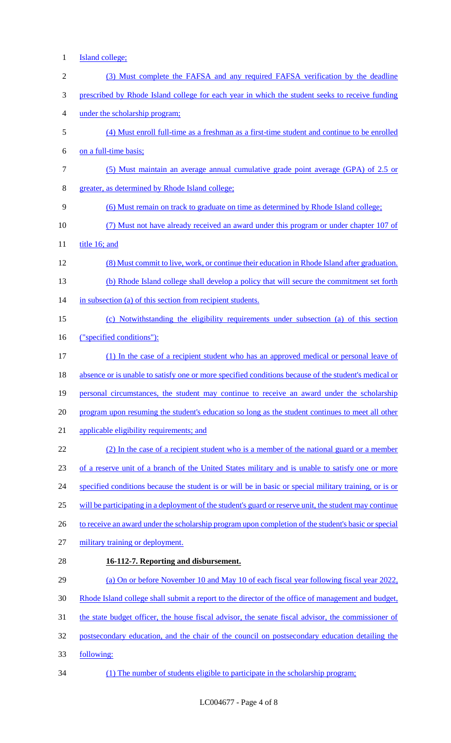- Island college;
- (3) Must complete the FAFSA and any required FAFSA verification by the deadline prescribed by Rhode Island college for each year in which the student seeks to receive funding under the scholarship program; (4) Must enroll full-time as a freshman as a first-time student and continue to be enrolled on a full-time basis; (5) Must maintain an average annual cumulative grade point average (GPA) of 2.5 or greater, as determined by Rhode Island college; (6) Must remain on track to graduate on time as determined by Rhode Island college; (7) Must not have already received an award under this program or under chapter 107 of title 16; and (8) Must commit to live, work, or continue their education in Rhode Island after graduation. (b) Rhode Island college shall develop a policy that will secure the commitment set forth 14 in subsection (a) of this section from recipient students. (c) Notwithstanding the eligibility requirements under subsection (a) of this section ("specified conditions"): (1) In the case of a recipient student who has an approved medical or personal leave of 18 absence or is unable to satisfy one or more specified conditions because of the student's medical or 19 personal circumstances, the student may continue to receive an award under the scholarship program upon resuming the student's education so long as the student continues to meet all other applicable eligibility requirements; and (2) In the case of a recipient student who is a member of the national guard or a member of a reserve unit of a branch of the United States military and is unable to satisfy one or more 24 specified conditions because the student is or will be in basic or special military training, or is or will be participating in a deployment of the student's guard or reserve unit, the student may continue 26 to receive an award under the scholarship program upon completion of the student's basic or special military training or deployment. **16-112-7. Reporting and disbursement.**  (a) On or before November 10 and May 10 of each fiscal year following fiscal year 2022, Rhode Island college shall submit a report to the director of the office of management and budget, the state budget officer, the house fiscal advisor, the senate fiscal advisor, the commissioner of postsecondary education, and the chair of the council on postsecondary education detailing the following: (1) The number of students eligible to participate in the scholarship program;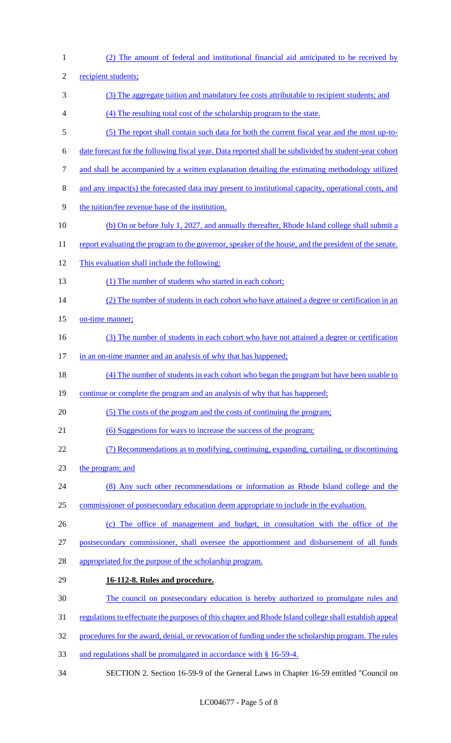(2) The amount of federal and institutional financial aid anticipated to be received by recipient students; (3) The aggregate tuition and mandatory fee costs attributable to recipient students; and (4) The resulting total cost of the scholarship program to the state. (5) The report shall contain such data for both the current fiscal year and the most up-to- date forecast for the following fiscal year. Data reported shall be subdivided by student-year cohort and shall be accompanied by a written explanation detailing the estimating methodology utilized and any impact(s) the forecasted data may present to institutional capacity, operational costs, and the tuition/fee revenue base of the institution. (b) On or before July 1, 2027, and annually thereafter, Rhode Island college shall submit a 11 report evaluating the program to the governor, speaker of the house, and the president of the senate. This evaluation shall include the following: 13 (1) The number of students who started in each cohort; 14 (2) The number of students in each cohort who have attained a degree or certification in an 15 on-time manner; 16 (3) The number of students in each cohort who have not attained a degree or certification 17 in an on-time manner and an analysis of why that has happened; (4) The number of students in each cohort who began the program but have been unable to 19 continue or complete the program and an analysis of why that has happened; (5) The costs of the program and the costs of continuing the program; (6) Suggestions for ways to increase the success of the program; (7) Recommendations as to modifying, continuing, expanding, curtailing, or discontinuing the program; and (8) Any such other recommendations or information as Rhode Island college and the commissioner of postsecondary education deem appropriate to include in the evaluation. (c) The office of management and budget, in consultation with the office of the postsecondary commissioner, shall oversee the apportionment and disbursement of all funds appropriated for the purpose of the scholarship program. **16-112-8. Rules and procedure.**  The council on postsecondary education is hereby authorized to promulgate rules and regulations to effectuate the purposes of this chapter and Rhode Island college shall establish appeal procedures for the award, denial, or revocation of funding under the scholarship program. The rules and regulations shall be promulgated in accordance with § 16-59-4. SECTION 2. Section 16-59-9 of the General Laws in Chapter 16-59 entitled "Council on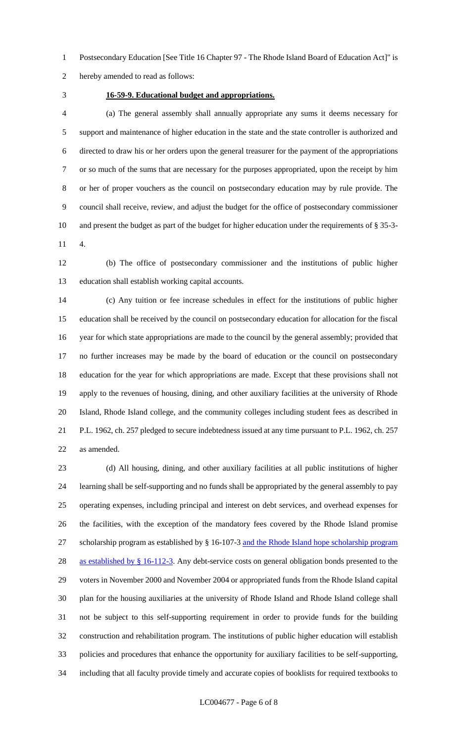Postsecondary Education [See Title 16 Chapter 97 - The Rhode Island Board of Education Act]" is

hereby amended to read as follows:

## **16-59-9. Educational budget and appropriations.**

 (a) The general assembly shall annually appropriate any sums it deems necessary for support and maintenance of higher education in the state and the state controller is authorized and directed to draw his or her orders upon the general treasurer for the payment of the appropriations or so much of the sums that are necessary for the purposes appropriated, upon the receipt by him or her of proper vouchers as the council on postsecondary education may by rule provide. The council shall receive, review, and adjust the budget for the office of postsecondary commissioner and present the budget as part of the budget for higher education under the requirements of § 35-3- 4.

 (b) The office of postsecondary commissioner and the institutions of public higher education shall establish working capital accounts.

 (c) Any tuition or fee increase schedules in effect for the institutions of public higher education shall be received by the council on postsecondary education for allocation for the fiscal year for which state appropriations are made to the council by the general assembly; provided that no further increases may be made by the board of education or the council on postsecondary education for the year for which appropriations are made. Except that these provisions shall not apply to the revenues of housing, dining, and other auxiliary facilities at the university of Rhode Island, Rhode Island college, and the community colleges including student fees as described in P.L. 1962, ch. 257 pledged to secure indebtedness issued at any time pursuant to P.L. 1962, ch. 257 as amended.

 (d) All housing, dining, and other auxiliary facilities at all public institutions of higher learning shall be self-supporting and no funds shall be appropriated by the general assembly to pay operating expenses, including principal and interest on debt services, and overhead expenses for the facilities, with the exception of the mandatory fees covered by the Rhode Island promise scholarship program as established by § 16-107-3 and the Rhode Island hope scholarship program 28 as established by § 16-112-3. Any debt-service costs on general obligation bonds presented to the voters in November 2000 and November 2004 or appropriated funds from the Rhode Island capital plan for the housing auxiliaries at the university of Rhode Island and Rhode Island college shall not be subject to this self-supporting requirement in order to provide funds for the building construction and rehabilitation program. The institutions of public higher education will establish policies and procedures that enhance the opportunity for auxiliary facilities to be self-supporting, including that all faculty provide timely and accurate copies of booklists for required textbooks to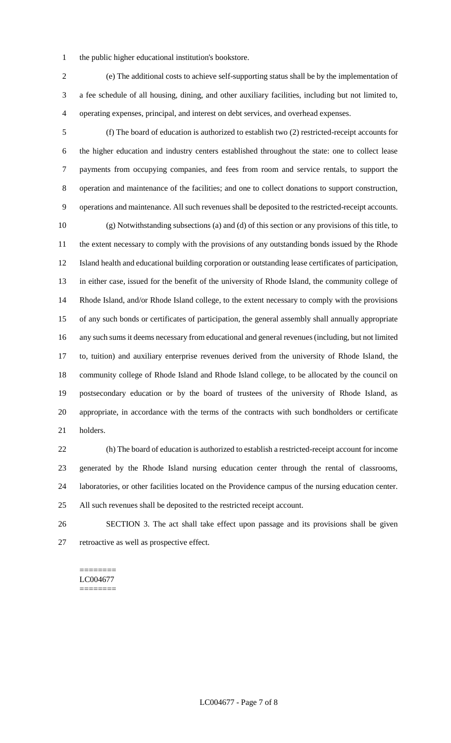the public higher educational institution's bookstore.

 (e) The additional costs to achieve self-supporting status shall be by the implementation of a fee schedule of all housing, dining, and other auxiliary facilities, including but not limited to, operating expenses, principal, and interest on debt services, and overhead expenses.

 (f) The board of education is authorized to establish two (2) restricted-receipt accounts for the higher education and industry centers established throughout the state: one to collect lease payments from occupying companies, and fees from room and service rentals, to support the operation and maintenance of the facilities; and one to collect donations to support construction, operations and maintenance. All such revenues shall be deposited to the restricted-receipt accounts. (g) Notwithstanding subsections (a) and (d) of this section or any provisions of this title, to the extent necessary to comply with the provisions of any outstanding bonds issued by the Rhode Island health and educational building corporation or outstanding lease certificates of participation, in either case, issued for the benefit of the university of Rhode Island, the community college of Rhode Island, and/or Rhode Island college, to the extent necessary to comply with the provisions of any such bonds or certificates of participation, the general assembly shall annually appropriate any such sums it deems necessary from educational and general revenues (including, but not limited to, tuition) and auxiliary enterprise revenues derived from the university of Rhode Island, the community college of Rhode Island and Rhode Island college, to be allocated by the council on postsecondary education or by the board of trustees of the university of Rhode Island, as appropriate, in accordance with the terms of the contracts with such bondholders or certificate holders.

 (h) The board of education is authorized to establish a restricted-receipt account for income generated by the Rhode Island nursing education center through the rental of classrooms, laboratories, or other facilities located on the Providence campus of the nursing education center. All such revenues shall be deposited to the restricted receipt account.

 SECTION 3. The act shall take effect upon passage and its provisions shall be given retroactive as well as prospective effect.

#### ======== LC004677 ========